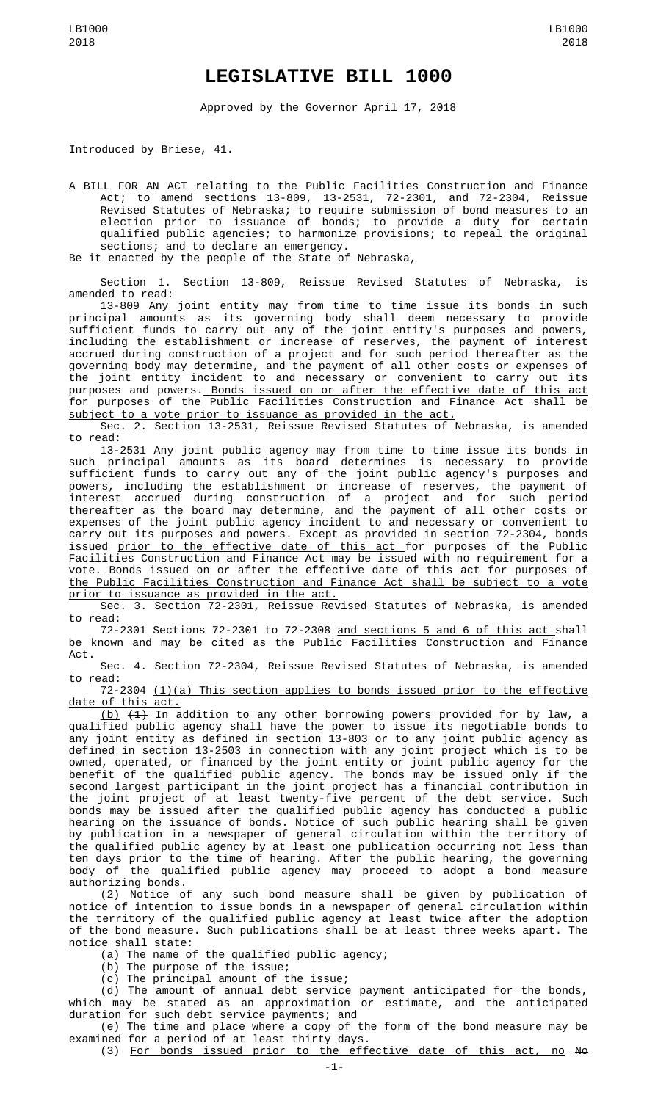## **LEGISLATIVE BILL 1000**

Approved by the Governor April 17, 2018

Introduced by Briese, 41.

A BILL FOR AN ACT relating to the Public Facilities Construction and Finance Act; to amend sections 13-809, 13-2531, 72-2301, and 72-2304, Reissue Revised Statutes of Nebraska; to require submission of bond measures to an election prior to issuance of bonds; to provide a duty for certain qualified public agencies; to harmonize provisions; to repeal the original sections; and to declare an emergency. Be it enacted by the people of the State of Nebraska,

Section 1. Section 13-809, Reissue Revised Statutes of Nebraska, is amended to read:

13-809 Any joint entity may from time to time issue its bonds in such principal amounts as its governing body shall deem necessary to provide sufficient funds to carry out any of the joint entity's purposes and powers, including the establishment or increase of reserves, the payment of interest accrued during construction of a project and for such period thereafter as the governing body may determine, and the payment of all other costs or expenses of the joint entity incident to and necessary or convenient to carry out its purposes and powers. Bonds issued on or after the effective date of this act for purposes of the Public Facilities Construction and Finance Act shall be subject to a vote prior to issuance as provided in the act.

Sec. 2. Section 13-2531, Reissue Revised Statutes of Nebraska, is amended to read:

13-2531 Any joint public agency may from time to time issue its bonds in such principal amounts as its board determines is necessary to provide sufficient funds to carry out any of the joint public agency's purposes and powers, including the establishment or increase of reserves, the payment of interest accrued during construction of a project and for such period thereafter as the board may determine, and the payment of all other costs or expenses of the joint public agency incident to and necessary or convenient to carry out its purposes and powers. Except as provided in section 72-2304, bonds issued <u>prior to the effective date of this act </u>for purposes of the Public Facilities Construction and Finance Act may be issued with no requirement for a vote. Bonds issued on or after the effective date of this act for purposes of the Public Facilities Construction and Finance Act shall be subject to a vote prior to issuance as provided in the act.

Sec. 3. Section 72-2301, Reissue Revised Statutes of Nebraska, is amended to read:

72-2301 Sections 72-2301 to 72-2308 and sections 5 and 6 of this act shall be known and may be cited as the Public Facilities Construction and Finance Act.

Sec. 4. Section 72-2304, Reissue Revised Statutes of Nebraska, is amended to read:

 $72-2304$   $(1)(a)$  This section applies to bonds issued prior to the effective date of this act.

<u>(b)</u> <del>(1)</del> In addition to any other borrowing powers provided for by law, a qualified public agency shall have the power to issue its negotiable bonds to any joint entity as defined in section 13-803 or to any joint public agency as defined in section 13-2503 in connection with any joint project which is to be owned, operated, or financed by the joint entity or joint public agency for the benefit of the qualified public agency. The bonds may be issued only if the second largest participant in the joint project has a financial contribution in the joint project of at least twenty-five percent of the debt service. Such bonds may be issued after the qualified public agency has conducted a public hearing on the issuance of bonds. Notice of such public hearing shall be given by publication in a newspaper of general circulation within the territory of the qualified public agency by at least one publication occurring not less than ten days prior to the time of hearing. After the public hearing, the governing body of the qualified public agency may proceed to adopt a bond measure authorizing bonds.

(2) Notice of any such bond measure shall be given by publication of notice of intention to issue bonds in a newspaper of general circulation within the territory of the qualified public agency at least twice after the adoption of the bond measure. Such publications shall be at least three weeks apart. The notice shall state:

(a) The name of the qualified public agency;

(b) The purpose of the issue;

(c) The principal amount of the issue;

(d) The amount of annual debt service payment anticipated for the bonds, which may be stated as an approximation or estimate, and the anticipated duration for such debt service payments; and

(e) The time and place where a copy of the form of the bond measure may be examined for a period of at least thirty days.

(3) For bonds issued prior to the effective date of this act, no No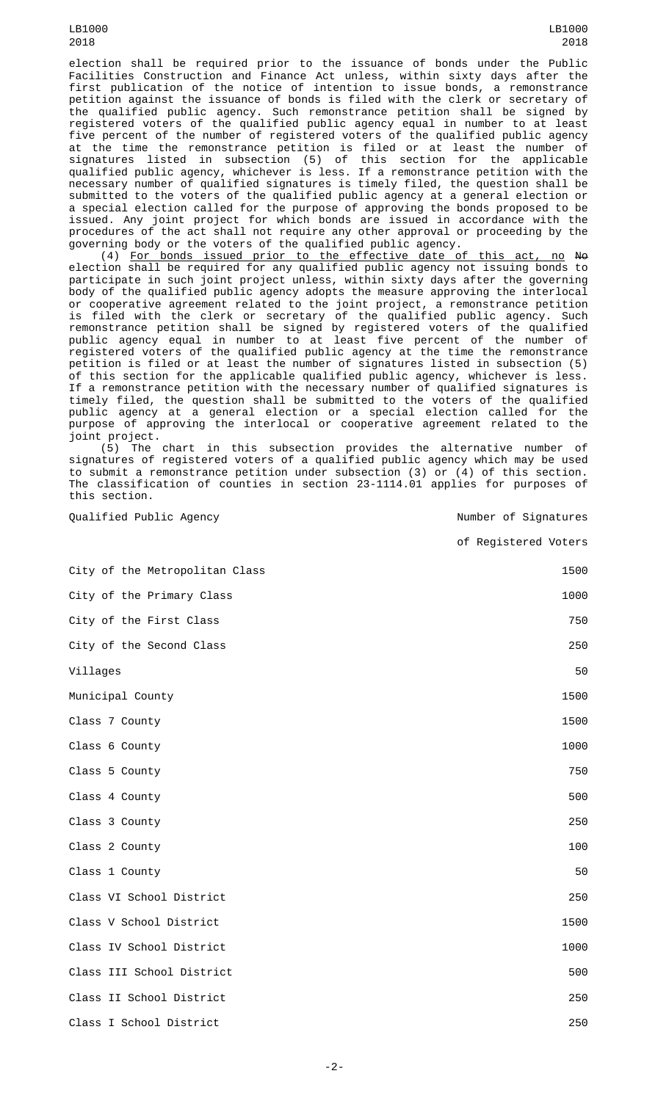LB1000 2018

election shall be required prior to the issuance of bonds under the Public Facilities Construction and Finance Act unless, within sixty days after the first publication of the notice of intention to issue bonds, a remonstrance petition against the issuance of bonds is filed with the clerk or secretary of the qualified public agency. Such remonstrance petition shall be signed by registered voters of the qualified public agency equal in number to at least five percent of the number of registered voters of the qualified public agency at the time the remonstrance petition is filed or at least the number of signatures listed in subsection (5) of this section for the applicable qualified public agency, whichever is less. If a remonstrance petition with the necessary number of qualified signatures is timely filed, the question shall be submitted to the voters of the qualified public agency at a general election or a special election called for the purpose of approving the bonds proposed to be issued. Any joint project for which bonds are issued in accordance with the procedures of the act shall not require any other approval or proceeding by the governing body or the voters of the qualified public agency.

(4) For bonds issued prior to the effective date of this act, no No election shall be required for any qualified public agency not issuing bonds to participate in such joint project unless, within sixty days after the governing body of the qualified public agency adopts the measure approving the interlocal or cooperative agreement related to the joint project, a remonstrance petition is filed with the clerk or secretary of the qualified public agency. Such remonstrance petition shall be signed by registered voters of the qualified public agency equal in number to at least five percent of the number of registered voters of the qualified public agency at the time the remonstrance petition is filed or at least the number of signatures listed in subsection (5) of this section for the applicable qualified public agency, whichever is less. If a remonstrance petition with the necessary number of qualified signatures is timely filed, the question shall be submitted to the voters of the qualified public agency at a general election or a special election called for the purpose of approving the interlocal or cooperative agreement related to the joint project.

(5) The chart in this subsection provides the alternative number of signatures of registered voters of a qualified public agency which may be used to submit a remonstrance petition under subsection (3) or (4) of this section. The classification of counties in section 23-1114.01 applies for purposes of this section.

Qualified Public Agency and the Community of Signatures

of Registered Voters

| City of the Metropolitan Class | 1500 |
|--------------------------------|------|
| City of the Primary Class      | 1000 |
| City of the First Class        | 750  |
| City of the Second Class       | 250  |
| Villages                       | 50   |
| Municipal County               | 1500 |
| Class 7 County                 | 1500 |
| Class 6 County                 | 1000 |
| Class 5 County                 | 750  |
| Class 4 County                 | 500  |
| Class 3 County                 | 250  |
| Class 2 County                 | 100  |
| Class 1 County                 | 50   |
| Class VI School District       | 250  |
| Class V School District        | 1500 |
| Class IV School District       | 1000 |
| Class III School District      | 500  |
| Class II School District       | 250  |
| Class I School District        | 250  |